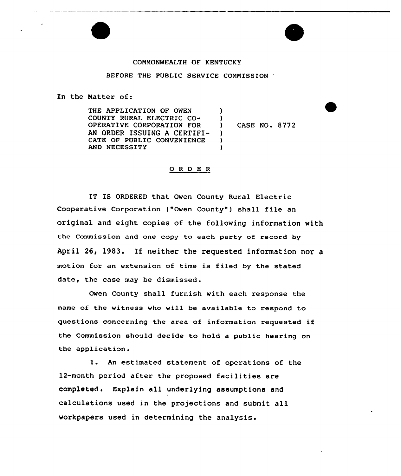## COMMONWEALTH OF KENTUCKY

## BEFORE THE PUBLIC SERVICE COMMISSION

In the Natter of:

THE APPLICATION OF OWEN COUNTY RURAL ELECTRIC CO-OPERATIVE CORPORATION FOR AN ORDER ISSUING <sup>A</sup> CERTIFI-CATE OF PUBLIC CONVENIENCE AND NECESSITY  $\lambda$  $\frac{1}{2}$ )  $\lambda$  $\lambda$ 

) CASE NO. 8772

## 0 <sup>R</sup> <sup>D</sup> E R

IT IS ORDERED that Owen County Rural Electric Cooperative Corporation ("Owen County") shall file an original and eight copies of the following information with the Commission and one copy to each party of record by April 26, 1983. If neither the requested information nor a motion for an extension of time is filed by the stated date, the case may be dismissed.

Owen County shall furnish with each response the name of the witness who will be available to respond to questions concerning the area of information requested if the Commission should decide to hold a public hearing on the application.

l. An estimated statement of operations of the 12-month period after the proposed facilities are completed. Explain all underlying assumptions and calculations used in the projections and submit all workpapers used in determining the analysis.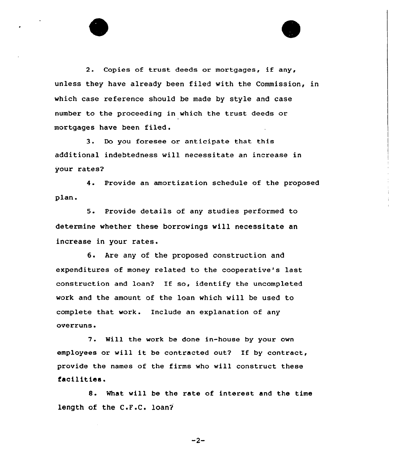2. Copies of trust deeds or mortgages, if any, unless they have already been filed with the Commission, in which case reference should be made by style and case number to the proceeding in which the trust deeds or mortgages have been filed .

3. Do you foresee or anticipate that this additional indebtedness will necessitate an increase in your rates?

4. Provide an amortization schedule of the proposed plan.

5. Provide details of any studies performed to determine whether these borrowings will necessitate an increase in your rates.

6. Are any of the proposed construction and expenditures of money related to the cooperative's last construction and loan? If so, identify the uncompleted work and the amount of the loan which will be used to complete that work. Include an explanation of any ovexruns.

7. Will the work be done in-house by your own employees or will it be contracted out? If by contract, provide the names of the firms who will construct these facilitiaa.

8. What will be the rate of interest and the time length of the C.F.C. loan?

 $-2-$